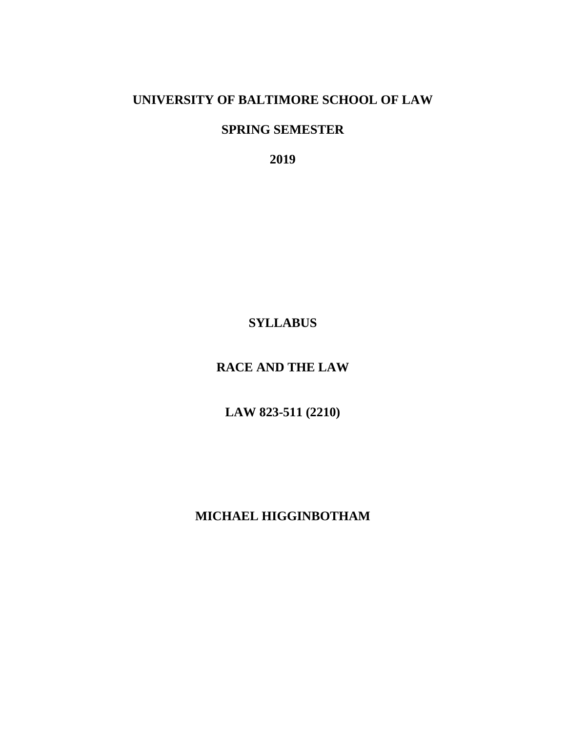## **UNIVERSITY OF BALTIMORE SCHOOL OF LAW**

## **SPRING SEMESTER**

**2019**

# **SYLLABUS**

# **RACE AND THE LAW**

**LAW 823-511 (2210)**

**MICHAEL HIGGINBOTHAM**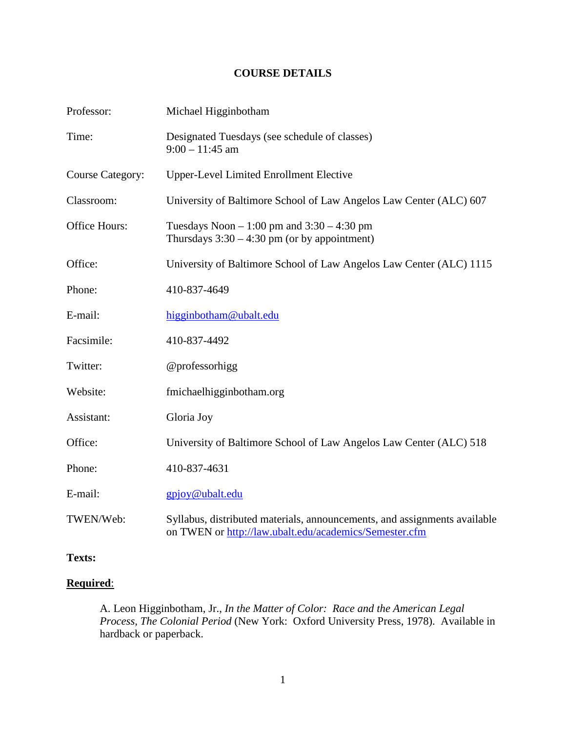## **COURSE DETAILS**

| Professor:              | Michael Higginbotham                                                                                                                |
|-------------------------|-------------------------------------------------------------------------------------------------------------------------------------|
| Time:                   | Designated Tuesdays (see schedule of classes)<br>$9:00 - 11:45$ am                                                                  |
| <b>Course Category:</b> | <b>Upper-Level Limited Enrollment Elective</b>                                                                                      |
| Classroom:              | University of Baltimore School of Law Angelos Law Center (ALC) 607                                                                  |
| Office Hours:           | Tuesdays Noon $-1:00$ pm and $3:30 - 4:30$ pm<br>Thursdays $3:30 - 4:30$ pm (or by appointment)                                     |
| Office:                 | University of Baltimore School of Law Angelos Law Center (ALC) 1115                                                                 |
| Phone:                  | 410-837-4649                                                                                                                        |
| E-mail:                 | higginbotham@ubalt.edu                                                                                                              |
| Facsimile:              | 410-837-4492                                                                                                                        |
| Twitter:                | @professorhigg                                                                                                                      |
| Website:                | fmichaelhigginbotham.org                                                                                                            |
| Assistant:              | Gloria Joy                                                                                                                          |
| Office:                 | University of Baltimore School of Law Angelos Law Center (ALC) 518                                                                  |
| Phone:                  | 410-837-4631                                                                                                                        |
| E-mail:                 | gpjoy@ubalt.edu                                                                                                                     |
| TWEN/Web:               | Syllabus, distributed materials, announcements, and assignments available<br>on TWEN or http://law.ubalt.edu/academics/Semester.cfm |

## **Texts:**

## **Required**:

A. Leon Higginbotham, Jr., *In the Matter of Color: Race and the American Legal Process, The Colonial Period* (New York: Oxford University Press, 1978). Available in hardback or paperback.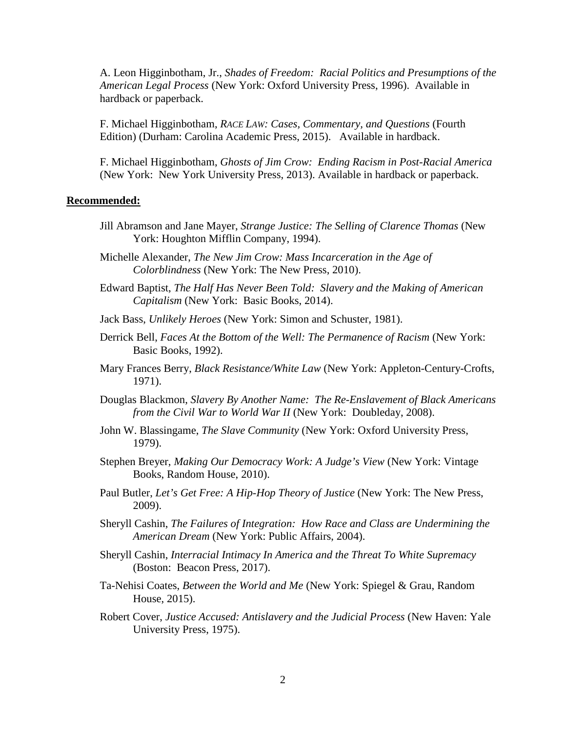A. Leon Higginbotham, Jr., *Shades of Freedom: Racial Politics and Presumptions of the American Legal Process* (New York: Oxford University Press, 1996). Available in hardback or paperback.

F. Michael Higginbotham, *RACE LAW: Cases, Commentary, and Questions* (Fourth Edition) (Durham: Carolina Academic Press, 2015). Available in hardback.

F. Michael Higginbotham, *Ghosts of Jim Crow: Ending Racism in Post-Racial America* (New York: New York University Press, 2013). Available in hardback or paperback.

#### **Recommended:**

- Jill Abramson and Jane Mayer, *Strange Justice: The Selling of Clarence Thomas* (New York: Houghton Mifflin Company, 1994).
- Michelle Alexander, *The New Jim Crow: Mass Incarceration in the Age of Colorblindness* (New York: The New Press, 2010).
- Edward Baptist, *The Half Has Never Been Told: Slavery and the Making of American Capitalism* (New York: Basic Books, 2014).
- Jack Bass, *Unlikely Heroes* (New York: Simon and Schuster, 1981).
- Derrick Bell, *Faces At the Bottom of the Well: The Permanence of Racism* (New York: Basic Books, 1992).
- Mary Frances Berry, *Black Resistance/White Law* (New York: Appleton-Century-Crofts, 1971).
- Douglas Blackmon, *Slavery By Another Name: The Re-Enslavement of Black Americans from the Civil War to World War II* (New York: Doubleday, 2008).
- John W. Blassingame, *The Slave Community* (New York: Oxford University Press, 1979).
- Stephen Breyer, *Making Our Democracy Work: A Judge's View* (New York: Vintage Books, Random House, 2010).
- Paul Butler, *Let's Get Free: A Hip-Hop Theory of Justice* (New York: The New Press, 2009).
- Sheryll Cashin, *The Failures of Integration: How Race and Class are Undermining the American Dream* (New York: Public Affairs, 2004).
- Sheryll Cashin, *Interracial Intimacy In America and the Threat To White Supremacy* (Boston: Beacon Press, 2017).
- Ta-Nehisi Coates, *Between the World and Me* (New York: Spiegel & Grau, Random House, 2015).
- Robert Cover, *Justice Accused: Antislavery and the Judicial Process* (New Haven: Yale University Press, 1975).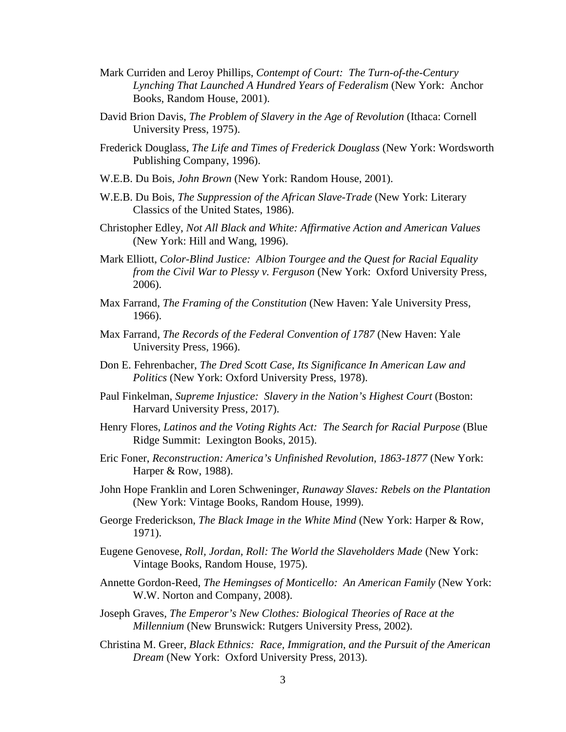- Mark Curriden and Leroy Phillips, *Contempt of Court: The Turn-of-the-Century Lynching That Launched A Hundred Years of Federalism* (New York: Anchor Books, Random House, 2001).
- David Brion Davis, *The Problem of Slavery in the Age of Revolution* (Ithaca: Cornell University Press, 1975).
- Frederick Douglass, *The Life and Times of Frederick Douglass* (New York: Wordsworth Publishing Company, 1996).
- W.E.B. Du Bois, *John Brown* (New York: Random House, 2001).
- W.E.B. Du Bois, *The Suppression of the African Slave-Trade* (New York: Literary Classics of the United States, 1986).
- Christopher Edley, *Not All Black and White: Affirmative Action and American Values* (New York: Hill and Wang, 1996).
- Mark Elliott, *Color-Blind Justice: Albion Tourgee and the Quest for Racial Equality from the Civil War to Plessy v. Ferguson* (New York: Oxford University Press, 2006).
- Max Farrand, *The Framing of the Constitution* (New Haven: Yale University Press, 1966).
- Max Farrand, *The Records of the Federal Convention of 1787* (New Haven: Yale University Press, 1966).
- Don E. Fehrenbacher, *The Dred Scott Case, Its Significance In American Law and Politics* (New York: Oxford University Press, 1978).
- Paul Finkelman, *Supreme Injustice: Slavery in the Nation's Highest Court* (Boston: Harvard University Press, 2017).
- Henry Flores, *Latinos and the Voting Rights Act: The Search for Racial Purpose* (Blue Ridge Summit: Lexington Books, 2015).
- Eric Foner, *Reconstruction: America's Unfinished Revolution, 1863-1877* (New York: Harper & Row, 1988).
- John Hope Franklin and Loren Schweninger, *Runaway Slaves: Rebels on the Plantation*  (New York: Vintage Books, Random House, 1999).
- George Frederickson, *The Black Image in the White Mind* (New York: Harper & Row, 1971).
- Eugene Genovese, *Roll, Jordan, Roll: The World the Slaveholders Made* (New York: Vintage Books, Random House, 1975).
- Annette Gordon-Reed, *The Hemingses of Monticello: An American Family* (New York: W.W. Norton and Company, 2008).
- Joseph Graves, *The Emperor's New Clothes: Biological Theories of Race at the Millennium* (New Brunswick: Rutgers University Press, 2002).
- Christina M. Greer, *Black Ethnics: Race, Immigration, and the Pursuit of the American Dream* (New York: Oxford University Press, 2013).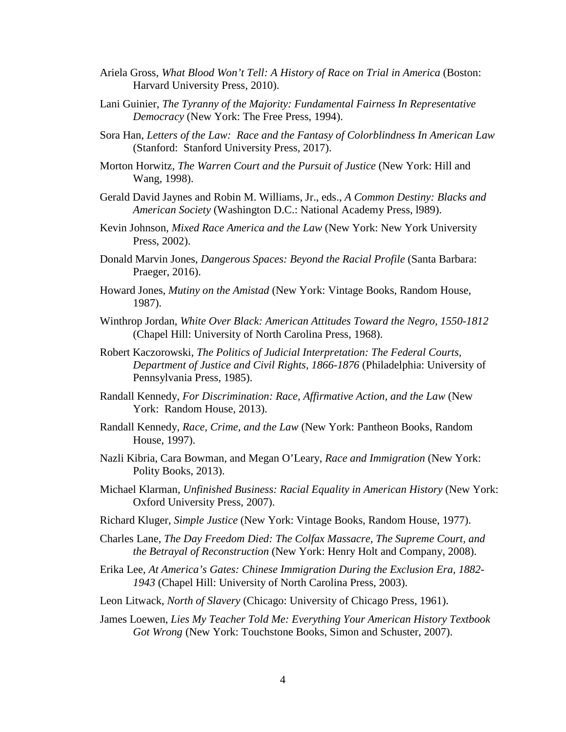- Ariela Gross, *What Blood Won't Tell: A History of Race on Trial in America* (Boston: Harvard University Press, 2010).
- Lani Guinier, *The Tyranny of the Majority: Fundamental Fairness In Representative Democracy* (New York: The Free Press, 1994).
- Sora Han, *Letters of the Law: Race and the Fantasy of Colorblindness In American Law* (Stanford: Stanford University Press, 2017).
- Morton Horwitz, *The Warren Court and the Pursuit of Justice* (New York: Hill and Wang, 1998).
- Gerald David Jaynes and Robin M. Williams, Jr., eds., *A Common Destiny: Blacks and American Society* (Washington D.C.: National Academy Press, l989).
- Kevin Johnson, *Mixed Race America and the Law* (New York: New York University Press, 2002).
- Donald Marvin Jones, *Dangerous Spaces: Beyond the Racial Profile* (Santa Barbara: Praeger, 2016).
- Howard Jones, *Mutiny on the Amistad* (New York: Vintage Books, Random House, 1987).
- Winthrop Jordan, *White Over Black: American Attitudes Toward the Negro, 1550-1812* (Chapel Hill: University of North Carolina Press, 1968).
- Robert Kaczorowski, *The Politics of Judicial Interpretation: The Federal Courts, Department of Justice and Civil Rights, 1866-1876* (Philadelphia: University of Pennsylvania Press, 1985).
- Randall Kennedy, *For Discrimination: Race, Affirmative Action, and the Law* (New York: Random House, 2013).
- Randall Kennedy, *Race, Crime, and the Law* (New York: Pantheon Books, Random House, 1997).
- Nazli Kibria, Cara Bowman, and Megan O'Leary, *Race and Immigration* (New York: Polity Books, 2013).
- Michael Klarman, *Unfinished Business: Racial Equality in American History* (New York: Oxford University Press, 2007).
- Richard Kluger, *Simple Justice* (New York: Vintage Books, Random House, 1977).
- Charles Lane, *The Day Freedom Died: The Colfax Massacre, The Supreme Court, and the Betrayal of Reconstruction* (New York: Henry Holt and Company, 2008).
- Erika Lee, *At America's Gates: Chinese Immigration During the Exclusion Era, 1882- 1943* (Chapel Hill: University of North Carolina Press, 2003).
- Leon Litwack, *North of Slavery* (Chicago: University of Chicago Press, 1961).
- James Loewen, *Lies My Teacher Told Me: Everything Your American History Textbook Got Wrong* (New York: Touchstone Books, Simon and Schuster, 2007).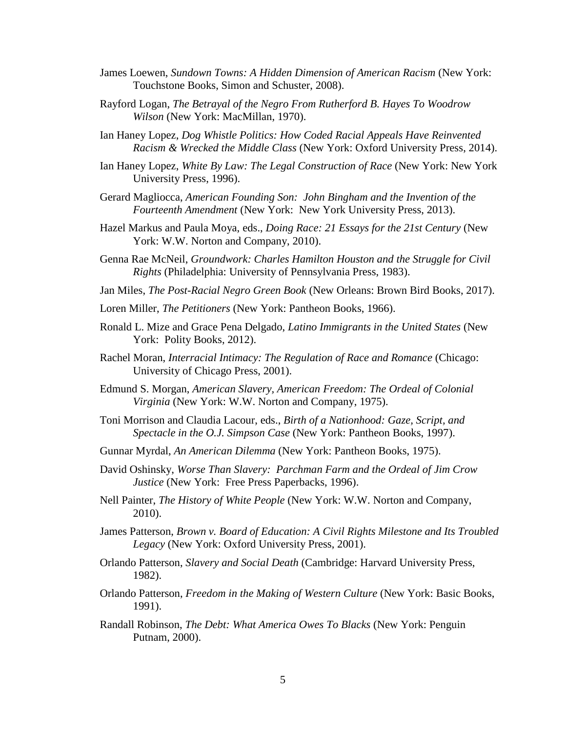- James Loewen, *Sundown Towns: A Hidden Dimension of American Racism* (New York: Touchstone Books, Simon and Schuster, 2008).
- Rayford Logan, *The Betrayal of the Negro From Rutherford B. Hayes To Woodrow Wilson* (New York: MacMillan, 1970).
- Ian Haney Lopez, *Dog Whistle Politics: How Coded Racial Appeals Have Reinvented Racism & Wrecked the Middle Class* (New York: Oxford University Press, 2014).
- Ian Haney Lopez, *White By Law: The Legal Construction of Race* (New York: New York University Press, 1996).
- Gerard Magliocca, *American Founding Son: John Bingham and the Invention of the Fourteenth Amendment* (New York: New York University Press, 2013).
- Hazel Markus and Paula Moya, eds., *Doing Race: 21 Essays for the 21st Century* (New York: W.W. Norton and Company, 2010).
- Genna Rae McNeil, *Groundwork: Charles Hamilton Houston and the Struggle for Civil Rights* (Philadelphia: University of Pennsylvania Press, 1983).
- Jan Miles, *The Post-Racial Negro Green Book* (New Orleans: Brown Bird Books, 2017).
- Loren Miller, *The Petitioners* (New York: Pantheon Books, 1966).
- Ronald L. Mize and Grace Pena Delgado, *Latino Immigrants in the United States* (New York: Polity Books, 2012).
- Rachel Moran, *Interracial Intimacy: The Regulation of Race and Romance* (Chicago: University of Chicago Press, 2001).
- Edmund S. Morgan, *American Slavery, American Freedom: The Ordeal of Colonial Virginia* (New York: W.W. Norton and Company, 1975).
- Toni Morrison and Claudia Lacour, eds., *Birth of a Nationhood: Gaze, Script, and Spectacle in the O.J. Simpson Case* (New York: Pantheon Books, 1997).
- Gunnar Myrdal, *An American Dilemma* (New York: Pantheon Books, 1975).
- David Oshinsky, *Worse Than Slavery: Parchman Farm and the Ordeal of Jim Crow Justice* (New York: Free Press Paperbacks, 1996).
- Nell Painter, *The History of White People* (New York: W.W. Norton and Company, 2010).
- James Patterson, *Brown v. Board of Education: A Civil Rights Milestone and Its Troubled Legacy* (New York: Oxford University Press, 2001).
- Orlando Patterson, *Slavery and Social Death* (Cambridge: Harvard University Press, 1982).
- Orlando Patterson, *Freedom in the Making of Western Culture* (New York: Basic Books, 1991).
- Randall Robinson, *The Debt: What America Owes To Blacks* (New York: Penguin Putnam, 2000).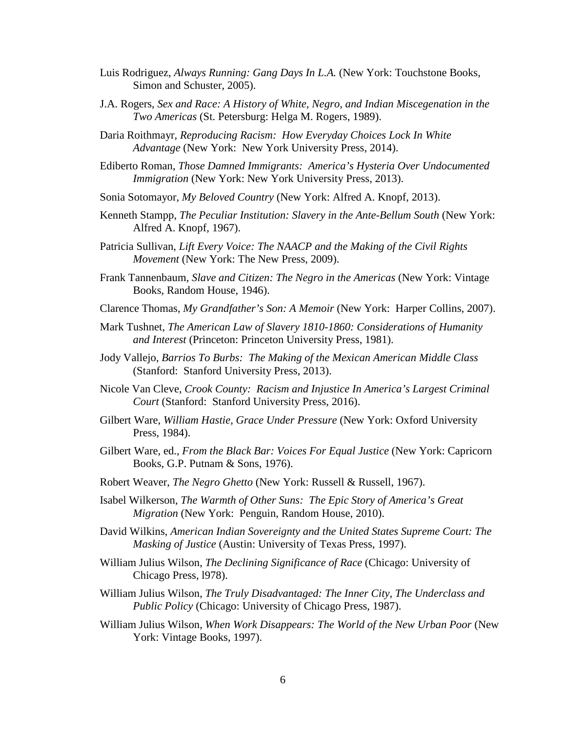- Luis Rodriguez, *Always Running: Gang Days In L.A.* (New York: Touchstone Books, Simon and Schuster, 2005).
- J.A. Rogers, *Sex and Race: A History of White, Negro, and Indian Miscegenation in the Two Americas* (St. Petersburg: Helga M. Rogers, 1989).
- Daria Roithmayr, *Reproducing Racism: How Everyday Choices Lock In White Advantage* (New York: New York University Press, 2014).
- Ediberto Roman, *Those Damned Immigrants: America's Hysteria Over Undocumented Immigration* (New York: New York University Press, 2013).
- Sonia Sotomayor, *My Beloved Country* (New York: Alfred A. Knopf, 2013).
- Kenneth Stampp, *The Peculiar Institution: Slavery in the Ante-Bellum South* (New York: Alfred A. Knopf, 1967).
- Patricia Sullivan, *Lift Every Voice: The NAACP and the Making of the Civil Rights Movement* (New York: The New Press, 2009).
- Frank Tannenbaum, *Slave and Citizen: The Negro in the Americas* (New York: Vintage Books, Random House, 1946).
- Clarence Thomas, *My Grandfather's Son: A Memoir* (New York: Harper Collins, 2007).
- Mark Tushnet, *The American Law of Slavery 1810-1860: Considerations of Humanity and Interest* (Princeton: Princeton University Press, 1981).
- Jody Vallejo, *Barrios To Burbs: The Making of the Mexican American Middle Class* (Stanford: Stanford University Press, 2013).
- Nicole Van Cleve, *Crook County: Racism and Injustice In America's Largest Criminal Court* (Stanford: Stanford University Press, 2016).
- Gilbert Ware, *William Hastie, Grace Under Pressure* (New York: Oxford University Press, 1984).
- Gilbert Ware, ed., *From the Black Bar: Voices For Equal Justice* (New York: Capricorn Books, G.P. Putnam & Sons, 1976).
- Robert Weaver, *The Negro Ghetto* (New York: Russell & Russell, 1967).
- Isabel Wilkerson, *The Warmth of Other Suns: The Epic Story of America's Great Migration* (New York: Penguin, Random House, 2010).
- David Wilkins, *American Indian Sovereignty and the United States Supreme Court: The Masking of Justice* (Austin: University of Texas Press, 1997).
- William Julius Wilson, *The Declining Significance of Race* (Chicago: University of Chicago Press, l978).
- William Julius Wilson, *The Truly Disadvantaged: The Inner City, The Underclass and Public Policy* (Chicago: University of Chicago Press, 1987).
- William Julius Wilson, *When Work Disappears: The World of the New Urban Poor* (New York: Vintage Books, 1997).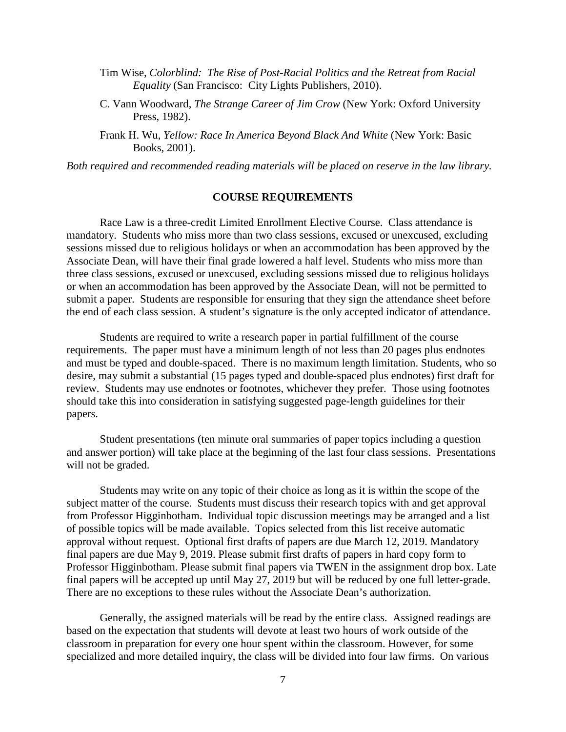- Tim Wise, *Colorblind: The Rise of Post-Racial Politics and the Retreat from Racial Equality* (San Francisco: City Lights Publishers, 2010).
- C. Vann Woodward, *The Strange Career of Jim Crow* (New York: Oxford University Press, 1982).
- Frank H. Wu, *Yellow: Race In America Beyond Black And White* (New York: Basic Books, 2001).

*Both required and recommended reading materials will be placed on reserve in the law library.*

#### **COURSE REQUIREMENTS**

Race Law is a three-credit Limited Enrollment Elective Course. Class attendance is mandatory. Students who miss more than two class sessions, excused or unexcused, excluding sessions missed due to religious holidays or when an accommodation has been approved by the Associate Dean, will have their final grade lowered a half level. Students who miss more than three class sessions, excused or unexcused, excluding sessions missed due to religious holidays or when an accommodation has been approved by the Associate Dean, will not be permitted to submit a paper. Students are responsible for ensuring that they sign the attendance sheet before the end of each class session. A student's signature is the only accepted indicator of attendance.

Students are required to write a research paper in partial fulfillment of the course requirements. The paper must have a minimum length of not less than 20 pages plus endnotes and must be typed and double-spaced. There is no maximum length limitation. Students, who so desire, may submit a substantial (15 pages typed and double-spaced plus endnotes) first draft for review. Students may use endnotes or footnotes, whichever they prefer. Those using footnotes should take this into consideration in satisfying suggested page-length guidelines for their papers.

Student presentations (ten minute oral summaries of paper topics including a question and answer portion) will take place at the beginning of the last four class sessions. Presentations will not be graded.

Students may write on any topic of their choice as long as it is within the scope of the subject matter of the course. Students must discuss their research topics with and get approval from Professor Higginbotham. Individual topic discussion meetings may be arranged and a list of possible topics will be made available. Topics selected from this list receive automatic approval without request. Optional first drafts of papers are due March 12, 2019. Mandatory final papers are due May 9, 2019. Please submit first drafts of papers in hard copy form to Professor Higginbotham. Please submit final papers via TWEN in the assignment drop box. Late final papers will be accepted up until May 27, 2019 but will be reduced by one full letter-grade. There are no exceptions to these rules without the Associate Dean's authorization.

Generally, the assigned materials will be read by the entire class. Assigned readings are based on the expectation that students will devote at least two hours of work outside of the classroom in preparation for every one hour spent within the classroom. However, for some specialized and more detailed inquiry, the class will be divided into four law firms. On various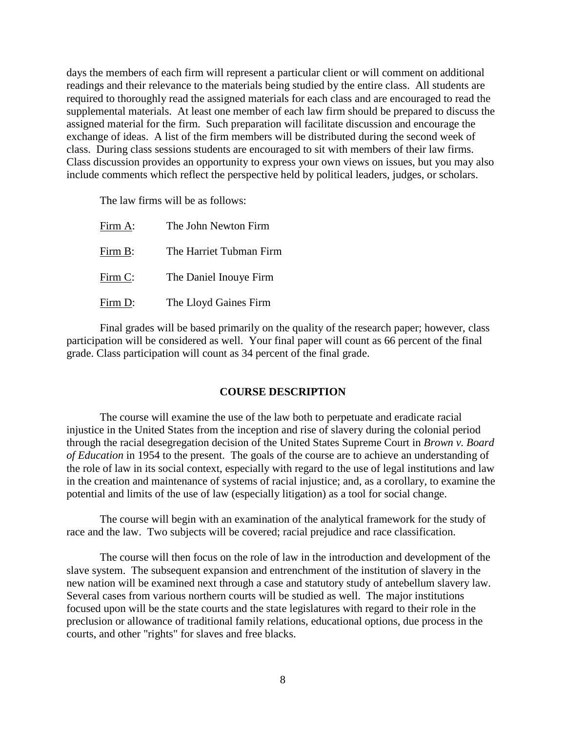days the members of each firm will represent a particular client or will comment on additional readings and their relevance to the materials being studied by the entire class. All students are required to thoroughly read the assigned materials for each class and are encouraged to read the supplemental materials. At least one member of each law firm should be prepared to discuss the assigned material for the firm. Such preparation will facilitate discussion and encourage the exchange of ideas. A list of the firm members will be distributed during the second week of class. During class sessions students are encouraged to sit with members of their law firms. Class discussion provides an opportunity to express your own views on issues, but you may also include comments which reflect the perspective held by political leaders, judges, or scholars.

The law firms will be as follows:

| Firm A: | The John Newton Firm    |
|---------|-------------------------|
| Firm B: | The Harriet Tubman Firm |
| Firm C: | The Daniel Inouye Firm  |
| Firm D: | The Lloyd Gaines Firm   |

Final grades will be based primarily on the quality of the research paper; however, class participation will be considered as well. Your final paper will count as 66 percent of the final grade. Class participation will count as 34 percent of the final grade.

## **COURSE DESCRIPTION**

The course will examine the use of the law both to perpetuate and eradicate racial injustice in the United States from the inception and rise of slavery during the colonial period through the racial desegregation decision of the United States Supreme Court in *Brown v. Board of Education* in 1954 to the present. The goals of the course are to achieve an understanding of the role of law in its social context, especially with regard to the use of legal institutions and law in the creation and maintenance of systems of racial injustice; and, as a corollary, to examine the potential and limits of the use of law (especially litigation) as a tool for social change.

The course will begin with an examination of the analytical framework for the study of race and the law. Two subjects will be covered; racial prejudice and race classification.

The course will then focus on the role of law in the introduction and development of the slave system. The subsequent expansion and entrenchment of the institution of slavery in the new nation will be examined next through a case and statutory study of antebellum slavery law. Several cases from various northern courts will be studied as well. The major institutions focused upon will be the state courts and the state legislatures with regard to their role in the preclusion or allowance of traditional family relations, educational options, due process in the courts, and other "rights" for slaves and free blacks.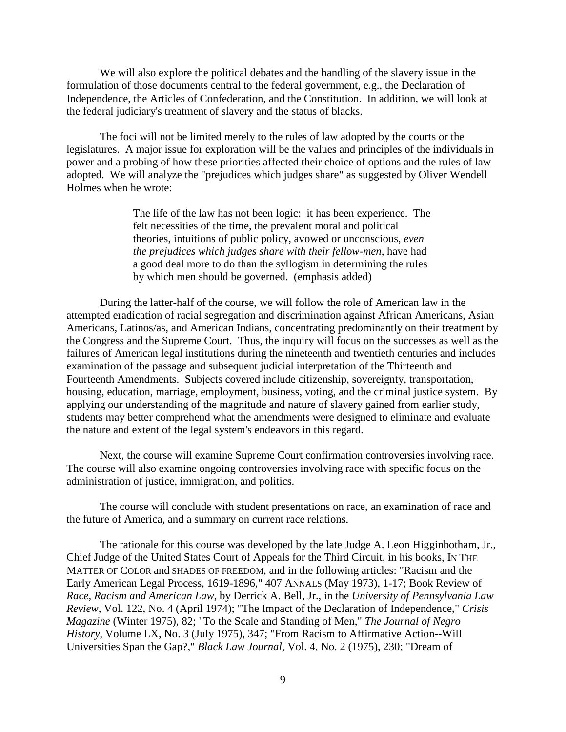We will also explore the political debates and the handling of the slavery issue in the formulation of those documents central to the federal government, e.g., the Declaration of Independence, the Articles of Confederation, and the Constitution. In addition, we will look at the federal judiciary's treatment of slavery and the status of blacks.

The foci will not be limited merely to the rules of law adopted by the courts or the legislatures. A major issue for exploration will be the values and principles of the individuals in power and a probing of how these priorities affected their choice of options and the rules of law adopted. We will analyze the "prejudices which judges share" as suggested by Oliver Wendell Holmes when he wrote:

> The life of the law has not been logic: it has been experience. The felt necessities of the time, the prevalent moral and political theories, intuitions of public policy, avowed or unconscious, *even the prejudices which judges share with their fellow-men*, have had a good deal more to do than the syllogism in determining the rules by which men should be governed. (emphasis added)

During the latter-half of the course, we will follow the role of American law in the attempted eradication of racial segregation and discrimination against African Americans, Asian Americans, Latinos/as, and American Indians, concentrating predominantly on their treatment by the Congress and the Supreme Court. Thus, the inquiry will focus on the successes as well as the failures of American legal institutions during the nineteenth and twentieth centuries and includes examination of the passage and subsequent judicial interpretation of the Thirteenth and Fourteenth Amendments. Subjects covered include citizenship, sovereignty, transportation, housing, education, marriage, employment, business, voting, and the criminal justice system. By applying our understanding of the magnitude and nature of slavery gained from earlier study, students may better comprehend what the amendments were designed to eliminate and evaluate the nature and extent of the legal system's endeavors in this regard.

Next, the course will examine Supreme Court confirmation controversies involving race. The course will also examine ongoing controversies involving race with specific focus on the administration of justice, immigration, and politics.

The course will conclude with student presentations on race, an examination of race and the future of America, and a summary on current race relations.

The rationale for this course was developed by the late Judge A. Leon Higginbotham, Jr., Chief Judge of the United States Court of Appeals for the Third Circuit, in his books, IN THE MATTER OF COLOR and SHADES OF FREEDOM, and in the following articles: "Racism and the Early American Legal Process, 1619-1896," 407 ANNALS (May 1973), 1-17; Book Review of *Race, Racism and American Law*, by Derrick A. Bell, Jr., in the *University of Pennsylvania Law Review*, Vol. 122, No. 4 (April 1974); "The Impact of the Declaration of Independence," *Crisis Magazine* (Winter 1975), 82; "To the Scale and Standing of Men," *The Journal of Negro History*, Volume LX, No. 3 (July 1975), 347; "From Racism to Affirmative Action--Will Universities Span the Gap?," *Black Law Journal*, Vol. 4, No. 2 (1975), 230; "Dream of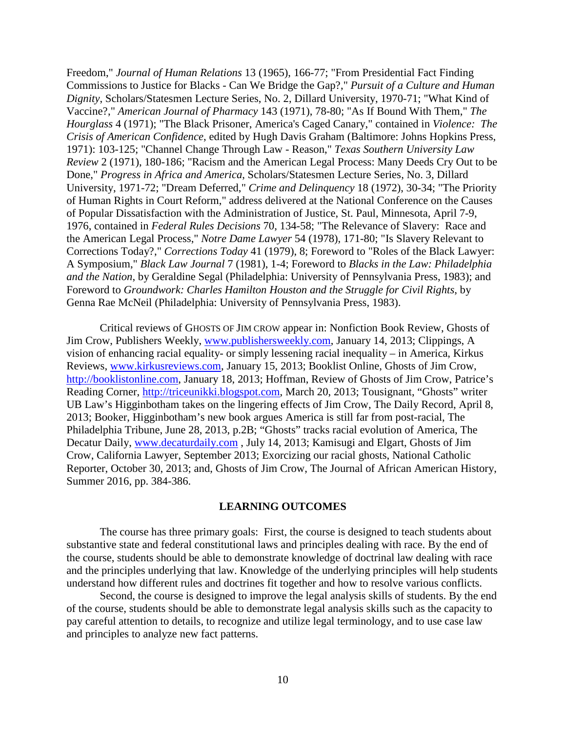Freedom," *Journal of Human Relations* 13 (1965), 166-77; "From Presidential Fact Finding Commissions to Justice for Blacks - Can We Bridge the Gap?," *Pursuit of a Culture and Human Dignity*, Scholars/Statesmen Lecture Series, No. 2, Dillard University, 1970-71; "What Kind of Vaccine?," *American Journal of Pharmacy* 143 (1971), 78-80; "As If Bound With Them," *The Hourglass* 4 (1971); "The Black Prisoner, America's Caged Canary," contained in *Violence: The Crisis of American Confidence*, edited by Hugh Davis Graham (Baltimore: Johns Hopkins Press, 1971): 103-125; "Channel Change Through Law - Reason," *Texas Southern University Law Review* 2 (1971), 180-186; "Racism and the American Legal Process: Many Deeds Cry Out to be Done," *Progress in Africa and America*, Scholars/Statesmen Lecture Series, No. 3, Dillard University, 1971-72; "Dream Deferred," *Crime and Delinquency* 18 (1972), 30-34; "The Priority of Human Rights in Court Reform," address delivered at the National Conference on the Causes of Popular Dissatisfaction with the Administration of Justice, St. Paul, Minnesota, April 7-9, 1976, contained in *Federal Rules Decisions* 70, 134-58; "The Relevance of Slavery: Race and the American Legal Process," *Notre Dame Lawyer* 54 (1978), 171-80; "Is Slavery Relevant to Corrections Today?," *Corrections Today* 41 (1979), 8; Foreword to "Roles of the Black Lawyer: A Symposium," *Black Law Journal* 7 (1981), 1-4; Foreword to *Blacks in the Law: Philadelphia and the Nation*, by Geraldine Segal (Philadelphia: University of Pennsylvania Press, 1983); and Foreword to *Groundwork: Charles Hamilton Houston and the Struggle for Civil Rights*, by Genna Rae McNeil (Philadelphia: University of Pennsylvania Press, 1983).

Critical reviews of GHOSTS OF JIM CROW appear in: Nonfiction Book Review, Ghosts of Jim Crow, Publishers Weekly, [www.publishersweekly.com,](http://www.publishersweekly.com/) January 14, 2013; Clippings, A vision of enhancing racial equality- or simply lessening racial inequality – in America, Kirkus Reviews, [www.kirkusreviews.com,](http://www.kirkusreviews.com/) January 15, 2013; Booklist Online, Ghosts of Jim Crow, [http://booklistonline.com,](http://booklistonline.com/) January 18, 2013; Hoffman, Review of Ghosts of Jim Crow, Patrice's Reading Corner, [http://triceunikki.blogspot.com,](http://triceunikki.blogspot.com/) March 20, 2013; Tousignant, "Ghosts" writer UB Law's Higginbotham takes on the lingering effects of Jim Crow, The Daily Record, April 8, 2013; Booker, Higginbotham's new book argues America is still far from post-racial, The Philadelphia Tribune, June 28, 2013, p.2B; "Ghosts" tracks racial evolution of America, The Decatur Daily, [www.decaturdaily.com](http://www.decaturdaily.com/) , July 14, 2013; Kamisugi and Elgart, Ghosts of Jim Crow, California Lawyer, September 2013; Exorcizing our racial ghosts, National Catholic Reporter, October 30, 2013; and, Ghosts of Jim Crow, The Journal of African American History, Summer 2016, pp. 384-386.

#### **LEARNING OUTCOMES**

The course has three primary goals: First, the course is designed to teach students about substantive state and federal constitutional laws and principles dealing with race. By the end of the course, students should be able to demonstrate knowledge of doctrinal law dealing with race and the principles underlying that law. Knowledge of the underlying principles will help students understand how different rules and doctrines fit together and how to resolve various conflicts.

Second, the course is designed to improve the legal analysis skills of students. By the end of the course, students should be able to demonstrate legal analysis skills such as the capacity to pay careful attention to details, to recognize and utilize legal terminology, and to use case law and principles to analyze new fact patterns.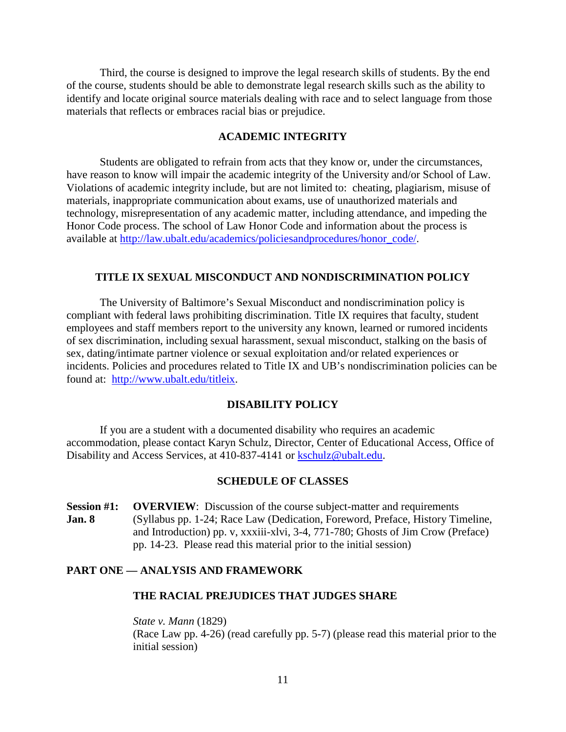Third, the course is designed to improve the legal research skills of students. By the end of the course, students should be able to demonstrate legal research skills such as the ability to identify and locate original source materials dealing with race and to select language from those materials that reflects or embraces racial bias or prejudice.

## **ACADEMIC INTEGRITY**

Students are obligated to refrain from acts that they know or, under the circumstances, have reason to know will impair the academic integrity of the University and/or School of Law. Violations of academic integrity include, but are not limited to: cheating, plagiarism, misuse of materials, inappropriate communication about exams, use of unauthorized materials and technology, misrepresentation of any academic matter, including attendance, and impeding the Honor Code process. The school of Law Honor Code and information about the process is available at [http://law.ubalt.edu/academics/policiesandprocedures/honor\\_code/.](http://law.ubalt.edu/academics/policiesandprocedures/honor_code/)

#### **TITLE IX SEXUAL MISCONDUCT AND NONDISCRIMINATION POLICY**

The University of Baltimore's Sexual Misconduct and nondiscrimination policy is compliant with federal laws prohibiting discrimination. Title IX requires that faculty, student employees and staff members report to the university any known, learned or rumored incidents of sex discrimination, including sexual harassment, sexual misconduct, stalking on the basis of sex, dating/intimate partner violence or sexual exploitation and/or related experiences or incidents. Policies and procedures related to Title IX and UB's nondiscrimination policies can be found at: [http://www.ubalt.edu/titleix.](http://www.ubalt.edu/titleix)

#### **DISABILITY POLICY**

If you are a student with a documented disability who requires an academic accommodation, please contact Karyn Schulz, Director, Center of Educational Access, Office of Disability and Access Services, at 410-837-4141 or [kschulz@ubalt.edu.](mailto:kschulz@ubalt.edu)

#### **SCHEDULE OF CLASSES**

**Session #1: OVERVIEW**: Discussion of the course subject-matter and requirements **Jan. 8** (Syllabus pp. 1-24; Race Law (Dedication, Foreword, Preface, History Timeline, and Introduction) pp. v, xxxiii-xlvi, 3-4, 771-780; Ghosts of Jim Crow (Preface) pp. 14-23. Please read this material prior to the initial session)

#### **PART ONE — ANALYSIS AND FRAMEWORK**

## **THE RACIAL PREJUDICES THAT JUDGES SHARE**

*State v. Mann* (1829) (Race Law pp. 4-26) (read carefully pp. 5-7) (please read this material prior to the initial session)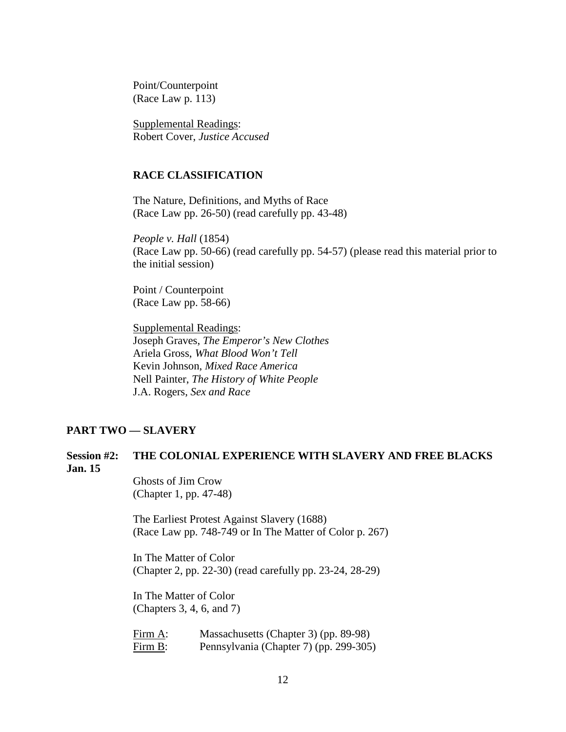Point/Counterpoint (Race Law p. 113)

Supplemental Readings: Robert Cover, *Justice Accused*

#### **RACE CLASSIFICATION**

The Nature, Definitions, and Myths of Race (Race Law pp. 26-50) (read carefully pp. 43-48)

*People v. Hall* (1854) (Race Law pp. 50-66) (read carefully pp. 54-57) (please read this material prior to the initial session)

Point / Counterpoint (Race Law pp. 58-66)

Supplemental Readings: Joseph Graves, *The Emperor's New Clothes* Ariela Gross, *What Blood Won't Tell* Kevin Johnson, *Mixed Race America* Nell Painter, *The History of White People* J.A. Rogers, *Sex and Race*

#### **PART TWO — SLAVERY**

## **Session #2: THE COLONIAL EXPERIENCE WITH SLAVERY AND FREE BLACKS Jan. 15**

Ghosts of Jim Crow (Chapter 1, pp. 47-48)

The Earliest Protest Against Slavery (1688) (Race Law pp. 748-749 or In The Matter of Color p. 267)

In The Matter of Color (Chapter 2, pp. 22-30) (read carefully pp. 23-24, 28-29)

In The Matter of Color (Chapters 3, 4, 6, and 7)

Firm A: Massachusetts (Chapter 3) (pp. 89-98) Firm B: Pennsylvania (Chapter 7) (pp. 299-305)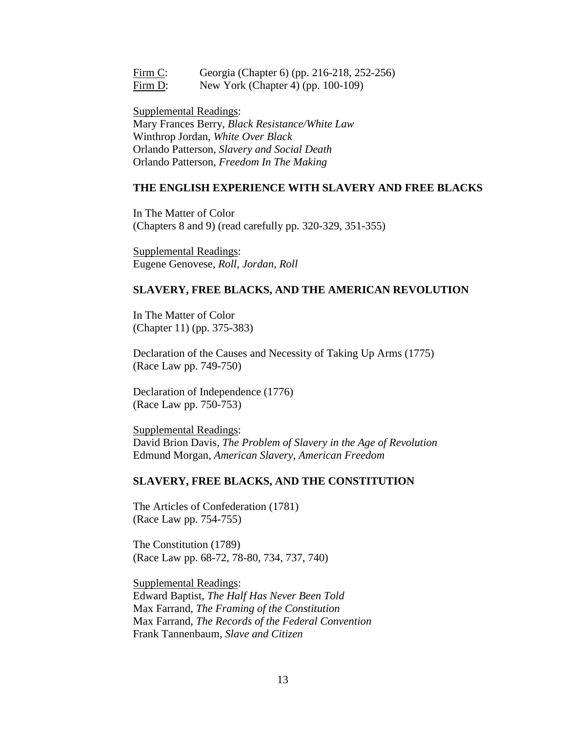Firm C: Georgia (Chapter 6) (pp. 216-218, 252-256) Firm D: New York (Chapter 4) (pp. 100-109)

Supplemental Readings: Mary Frances Berry, *Black Resistance/White Law* Winthrop Jordan, *White Over Black* Orlando Patterson, *Slavery and Social Death* Orlando Patterson, *Freedom In The Making*

#### **THE ENGLISH EXPERIENCE WITH SLAVERY AND FREE BLACKS**

In The Matter of Color (Chapters 8 and 9) (read carefully pp. 320-329, 351-355)

Supplemental Readings: Eugene Genovese, *Roll, Jordan, Roll*

#### **SLAVERY, FREE BLACKS, AND THE AMERICAN REVOLUTION**

In The Matter of Color (Chapter 11) (pp. 375-383)

Declaration of the Causes and Necessity of Taking Up Arms (1775) (Race Law pp. 749-750)

Declaration of Independence (1776) (Race Law pp. 750-753)

Supplemental Readings: David Brion Davis, *The Problem of Slavery in the Age of Revolution* Edmund Morgan, *American Slavery, American Freedom*

#### **SLAVERY, FREE BLACKS, AND THE CONSTITUTION**

The Articles of Confederation (1781) (Race Law pp. 754-755)

The Constitution (1789) (Race Law pp. 68-72, 78-80, 734, 737, 740)

Supplemental Readings: Edward Baptist, *The Half Has Never Been Told* Max Farrand, *The Framing of the Constitution* Max Farrand, *The Records of the Federal Convention* Frank Tannenbaum, *Slave and Citizen*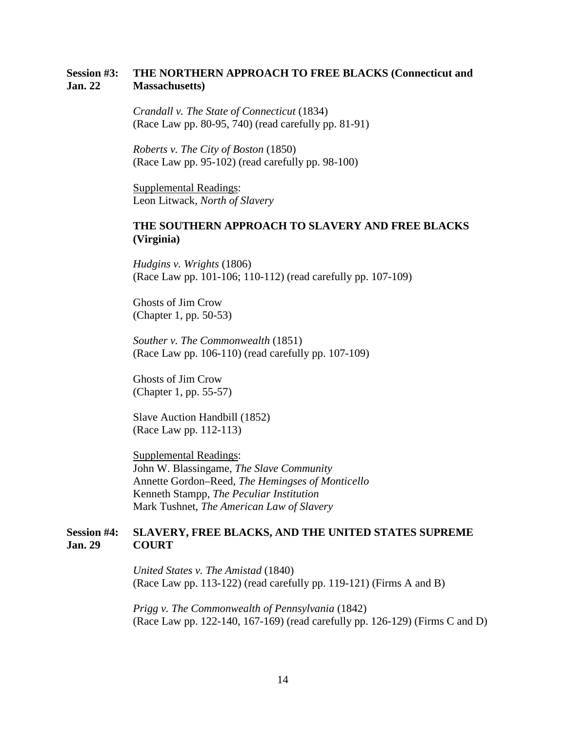## **Session #3: THE NORTHERN APPROACH TO FREE BLACKS (Connecticut and Jan. 22 Massachusetts)**

*Crandall v. The State of Connecticut* (1834) (Race Law pp. 80-95, 740) (read carefully pp. 81-91)

*Roberts v. The City of Boston* (1850) (Race Law pp. 95-102) (read carefully pp. 98-100)

Supplemental Readings: Leon Litwack, *North of Slavery*

## **THE SOUTHERN APPROACH TO SLAVERY AND FREE BLACKS (Virginia)**

*Hudgins v. Wrights* (1806) (Race Law pp. 101-106; 110-112) (read carefully pp. 107-109)

Ghosts of Jim Crow (Chapter 1, pp. 50-53)

*Souther v. The Commonwealth* (1851) (Race Law pp. 106-110) (read carefully pp. 107-109)

Ghosts of Jim Crow (Chapter 1, pp. 55-57)

Slave Auction Handbill (1852) (Race Law pp. 112-113)

Supplemental Readings: John W. Blassingame, *The Slave Community* Annette Gordon–Reed, *The Hemingses of Monticello* Kenneth Stampp, *The Peculiar Institution* Mark Tushnet, *The American Law of Slavery*

## **Session #4: SLAVERY, FREE BLACKS, AND THE UNITED STATES SUPREME Jan. 29 COURT**

*United States v. The Amistad* (1840) (Race Law pp. 113-122) (read carefully pp. 119-121) (Firms A and B)

*Prigg v. The Commonwealth of Pennsylvania* (1842) (Race Law pp. 122-140, 167-169) (read carefully pp. 126-129) (Firms C and D)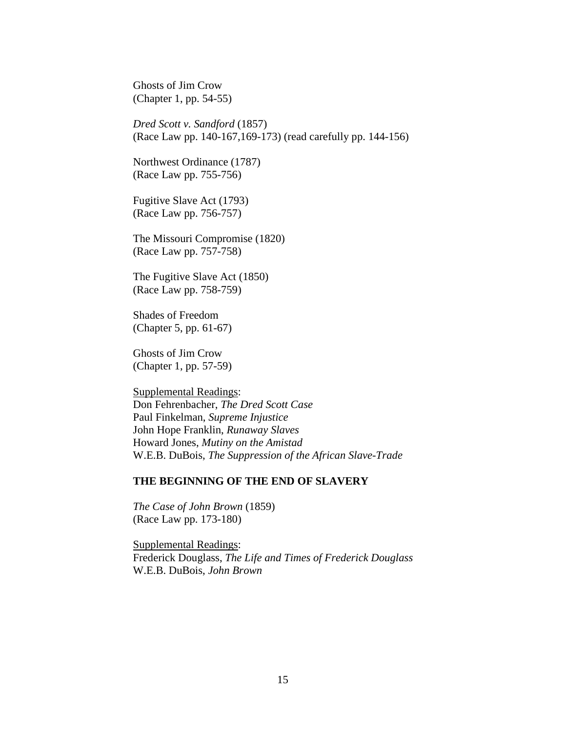Ghosts of Jim Crow (Chapter 1, pp. 54-55)

*Dred Scott v. Sandford* (1857) (Race Law pp. 140-167,169-173) (read carefully pp. 144-156)

Northwest Ordinance (1787) (Race Law pp. 755-756)

Fugitive Slave Act (1793) (Race Law pp. 756-757)

The Missouri Compromise (1820) (Race Law pp. 757-758)

The Fugitive Slave Act (1850) (Race Law pp. 758-759)

Shades of Freedom (Chapter 5, pp. 61-67)

Ghosts of Jim Crow (Chapter 1, pp. 57-59)

Supplemental Readings: Don Fehrenbacher, *The Dred Scott Case* Paul Finkelman, *Supreme Injustice* John Hope Franklin, *Runaway Slaves* Howard Jones, *Mutiny on the Amistad* W.E.B. DuBois, *The Suppression of the African Slave-Trade*

#### **THE BEGINNING OF THE END OF SLAVERY**

*The Case of John Brown* (1859) (Race Law pp. 173-180)

Supplemental Readings: Frederick Douglass, *The Life and Times of Frederick Douglass* W.E.B. DuBois, *John Brown*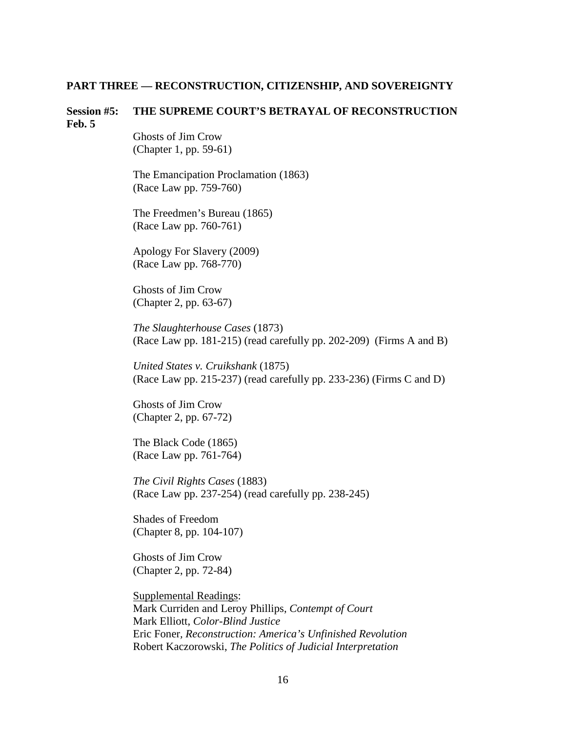#### **PART THREE — RECONSTRUCTION, CITIZENSHIP, AND SOVEREIGNTY**

#### **Session #5: THE SUPREME COURT'S BETRAYAL OF RECONSTRUCTION Feb. 5**

Ghosts of Jim Crow (Chapter 1, pp. 59-61)

The Emancipation Proclamation (1863) (Race Law pp. 759-760)

The Freedmen's Bureau (1865) (Race Law pp. 760-761)

Apology For Slavery (2009) (Race Law pp. 768-770)

Ghosts of Jim Crow (Chapter 2, pp. 63-67)

*The Slaughterhouse Cases* (1873) (Race Law pp. 181-215) (read carefully pp. 202-209) (Firms A and B)

*United States v. Cruikshank* (1875) (Race Law pp. 215-237) (read carefully pp. 233-236) (Firms C and D)

Ghosts of Jim Crow (Chapter 2, pp. 67-72)

The Black Code (1865) (Race Law pp. 761-764)

*The Civil Rights Cases* (1883) (Race Law pp. 237-254) (read carefully pp. 238-245)

Shades of Freedom (Chapter 8, pp. 104-107)

Ghosts of Jim Crow (Chapter 2, pp. 72-84)

Supplemental Readings: Mark Curriden and Leroy Phillips, *Contempt of Court* Mark Elliott, *Color-Blind Justice* Eric Foner*, Reconstruction: America's Unfinished Revolution* Robert Kaczorowski, *The Politics of Judicial Interpretation*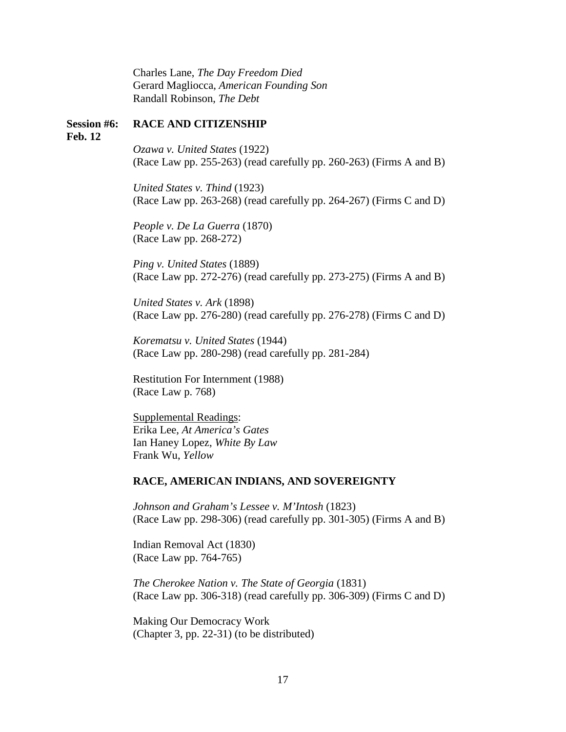Charles Lane, *The Day Freedom Died* Gerard Magliocca, *American Founding Son* Randall Robinson, *The Debt*

#### **Session #6: RACE AND CITIZENSHIP**

**Feb. 12**

*Ozawa v. United States* (1922) (Race Law pp. 255-263) (read carefully pp. 260-263) (Firms A and B)

*United States v. Thind* (1923) (Race Law pp. 263-268) (read carefully pp. 264-267) (Firms C and D)

*People v. De La Guerra* (1870) (Race Law pp. 268-272)

*Ping v. United States* (1889) (Race Law pp. 272-276) (read carefully pp. 273-275) (Firms A and B)

*United States v. Ark* (1898) (Race Law pp. 276-280) (read carefully pp. 276-278) (Firms C and D)

*Korematsu v. United States* (1944) (Race Law pp. 280-298) (read carefully pp. 281-284)

Restitution For Internment (1988) (Race Law p. 768)

Supplemental Readings: Erika Lee, *At America's Gates* Ian Haney Lopez, *White By Law* Frank Wu, *Yellow*

#### **RACE, AMERICAN INDIANS, AND SOVEREIGNTY**

*Johnson and Graham's Lessee v. M'Intosh* (1823) (Race Law pp. 298-306) (read carefully pp. 301-305) (Firms A and B)

Indian Removal Act (1830) (Race Law pp. 764-765)

*The Cherokee Nation v. The State of Georgia* (1831) (Race Law pp. 306-318) (read carefully pp. 306-309) (Firms C and D)

Making Our Democracy Work (Chapter 3, pp. 22-31) (to be distributed)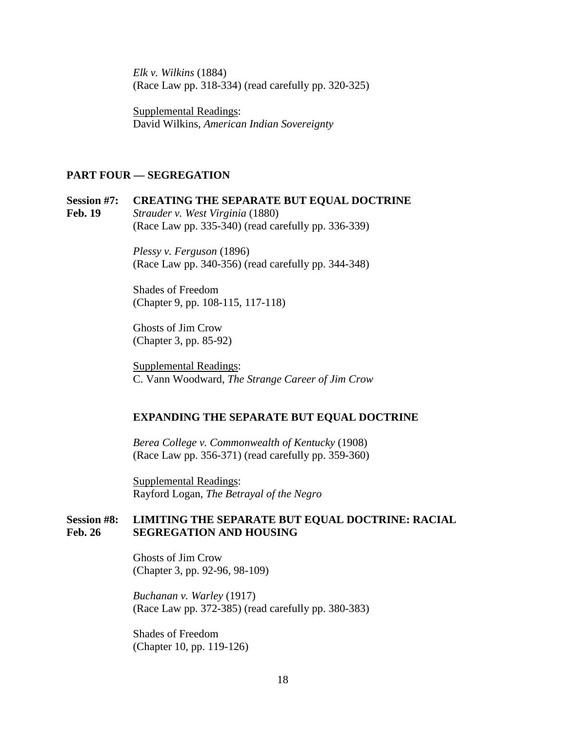*Elk v. Wilkins* (1884) (Race Law pp. 318-334) (read carefully pp. 320-325)

Supplemental Readings: David Wilkins, *American Indian Sovereignty*

#### **PART FOUR — SEGREGATION**

**Session #7: CREATING THE SEPARATE BUT EQUAL DOCTRINE Feb. 19** *Strauder v. West Virginia* (1880) (Race Law pp. 335-340) (read carefully pp. 336-339)

> *Plessy v. Ferguson* (1896) (Race Law pp. 340-356) (read carefully pp. 344-348)

Shades of Freedom (Chapter 9, pp. 108-115, 117-118)

Ghosts of Jim Crow (Chapter 3, pp. 85-92)

Supplemental Readings: C. Vann Woodward, *The Strange Career of Jim Crow*

#### **EXPANDING THE SEPARATE BUT EQUAL DOCTRINE**

*Berea College v. Commonwealth of Kentucky* (1908) (Race Law pp. 356-371) (read carefully pp. 359-360)

Supplemental Readings: Rayford Logan, *The Betrayal of the Negro*

## **Session #8: LIMITING THE SEPARATE BUT EQUAL DOCTRINE: RACIAL Feb. 26 SEGREGATION AND HOUSING**

Ghosts of Jim Crow (Chapter 3, pp. 92-96, 98-109)

*Buchanan v. Warley* (1917) (Race Law pp. 372-385) (read carefully pp. 380-383)

Shades of Freedom (Chapter 10, pp. 119-126)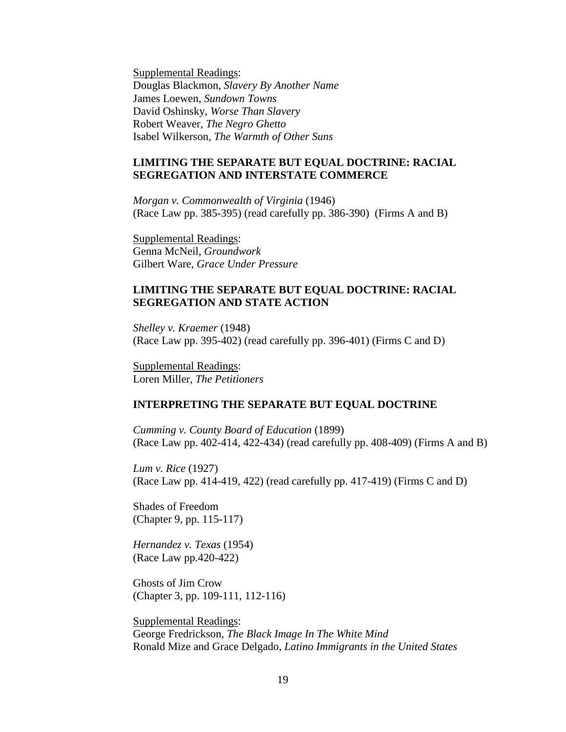Supplemental Readings: Douglas Blackmon, *Slavery By Another Name* James Loewen, *Sundown Towns* David Oshinsky, *Worse Than Slavery* Robert Weaver, *The Negro Ghetto* Isabel Wilkerson, *The Warmth of Other Suns*

## **LIMITING THE SEPARATE BUT EQUAL DOCTRINE: RACIAL SEGREGATION AND INTERSTATE COMMERCE**

*Morgan v. Commonwealth of Virginia* (1946) (Race Law pp. 385-395) (read carefully pp. 386-390) (Firms A and B)

Supplemental Readings: Genna McNeil, *Groundwork* Gilbert Ware, *Grace Under Pressure*

### **LIMITING THE SEPARATE BUT EQUAL DOCTRINE: RACIAL SEGREGATION AND STATE ACTION**

*Shelley v. Kraemer* (1948) (Race Law pp. 395-402) (read carefully pp. 396-401) (Firms C and D)

Supplemental Readings: Loren Miller, *The Petitioners*

#### **INTERPRETING THE SEPARATE BUT EQUAL DOCTRINE**

*Cumming v. County Board of Education* (1899) (Race Law pp. 402-414, 422-434) (read carefully pp. 408-409) (Firms A and B)

*Lum v. Rice* (1927) (Race Law pp. 414-419, 422) (read carefully pp. 417-419) (Firms C and D)

Shades of Freedom (Chapter 9, pp. 115-117)

*Hernandez v. Texas* (1954) (Race Law pp.420-422)

Ghosts of Jim Crow (Chapter 3, pp. 109-111, 112-116)

Supplemental Readings: George Fredrickson, *The Black Image In The White Mind* Ronald Mize and Grace Delgado, *Latino Immigrants in the United States*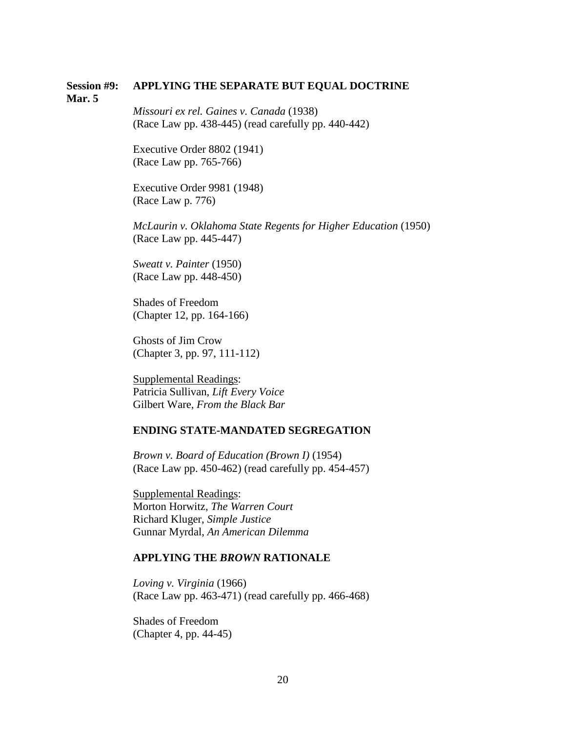#### **Session #9: APPLYING THE SEPARATE BUT EQUAL DOCTRINE Mar. 5**

*Missouri ex rel. Gaines v. Canada* (1938) (Race Law pp. 438-445) (read carefully pp. 440-442)

Executive Order 8802 (1941) (Race Law pp. 765-766)

Executive Order 9981 (1948) (Race Law p. 776)

*McLaurin v. Oklahoma State Regents for Higher Education* (1950) (Race Law pp. 445-447)

*Sweatt v. Painter* (1950) (Race Law pp. 448-450)

Shades of Freedom (Chapter 12, pp. 164-166)

Ghosts of Jim Crow (Chapter 3, pp. 97, 111-112)

Supplemental Readings: Patricia Sullivan, *Lift Every Voice* Gilbert Ware, *From the Black Bar*

#### **ENDING STATE-MANDATED SEGREGATION**

*Brown v. Board of Education (Brown I)* (1954) (Race Law pp. 450-462) (read carefully pp. 454-457)

Supplemental Readings: Morton Horwitz, *The Warren Court* Richard Kluger, *Simple Justice* Gunnar Myrdal, *An American Dilemma*

#### **APPLYING THE** *BROWN* **RATIONALE**

*Loving v. Virginia* (1966) (Race Law pp. 463-471) (read carefully pp. 466-468)

Shades of Freedom (Chapter 4, pp. 44-45)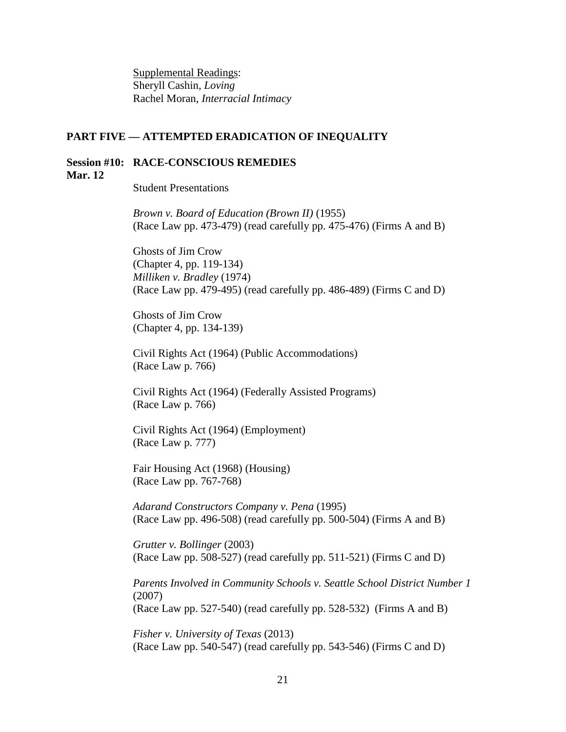Supplemental Readings: Sheryll Cashin, *Loving* Rachel Moran, *Interracial Intimacy*

#### **PART FIVE — ATTEMPTED ERADICATION OF INEQUALITY**

#### **Session #10: RACE-CONSCIOUS REMEDIES Mar. 12**

Student Presentations

*Brown v. Board of Education (Brown II)* (1955) (Race Law pp. 473-479) (read carefully pp. 475-476) (Firms A and B)

Ghosts of Jim Crow (Chapter 4, pp. 119-134) *Milliken v. Bradley* (1974) (Race Law pp. 479-495) (read carefully pp. 486-489) (Firms C and D)

Ghosts of Jim Crow (Chapter 4, pp. 134-139)

Civil Rights Act (1964) (Public Accommodations) (Race Law p. 766)

Civil Rights Act (1964) (Federally Assisted Programs) (Race Law p. 766)

Civil Rights Act (1964) (Employment) (Race Law p. 777)

Fair Housing Act (1968) (Housing) (Race Law pp. 767-768)

*Adarand Constructors Company v. Pena* (1995) (Race Law pp. 496-508) (read carefully pp. 500-504) (Firms A and B)

*Grutter v. Bollinger* (2003) (Race Law pp. 508-527) (read carefully pp. 511-521) (Firms C and D)

*Parents Involved in Community Schools v. Seattle School District Number 1* (2007) (Race Law pp. 527-540) (read carefully pp. 528-532) (Firms A and B)

*Fisher v. University of Texas* (2013) (Race Law pp. 540-547) (read carefully pp. 543-546) (Firms C and D)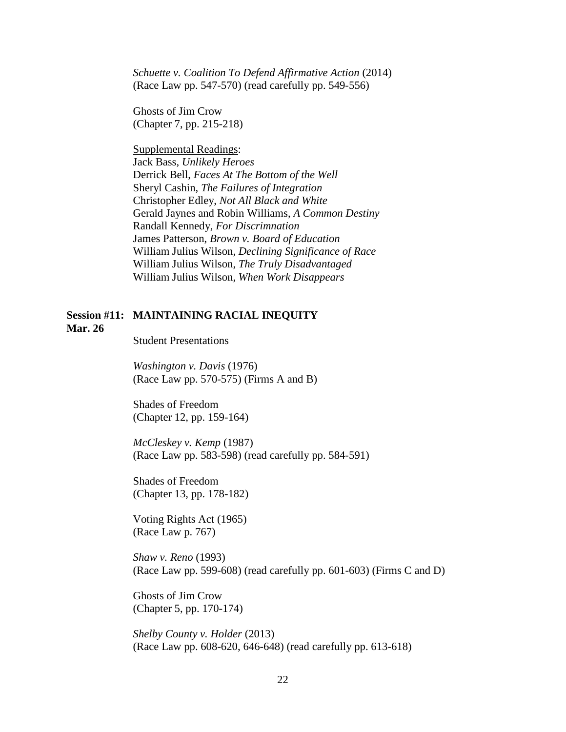*Schuette v. Coalition To Defend Affirmative Action* (2014) (Race Law pp. 547-570) (read carefully pp. 549-556)

Ghosts of Jim Crow (Chapter 7, pp. 215-218)

Supplemental Readings: Jack Bass, *Unlikely Heroes* Derrick Bell, *Faces At The Bottom of the Well* Sheryl Cashin, *The Failures of Integration* Christopher Edley, *Not All Black and White* Gerald Jaynes and Robin Williams, *A Common Destiny* Randall Kennedy, *For Discrimnation* James Patterson, *Brown v. Board of Education* William Julius Wilson, *Declining Significance of Race* William Julius Wilson, *The Truly Disadvantaged* William Julius Wilson, *When Work Disappears*

## **Session #11: MAINTAINING RACIAL INEQUITY Mar. 26**

Student Presentations

*Washington v. Davis* (1976) (Race Law pp. 570-575) (Firms A and B)

Shades of Freedom (Chapter 12, pp. 159-164)

*McCleskey v. Kemp* (1987) (Race Law pp. 583-598) (read carefully pp. 584-591)

Shades of Freedom (Chapter 13, pp. 178-182)

Voting Rights Act (1965) (Race Law p. 767)

*Shaw v. Reno* (1993) (Race Law pp. 599-608) (read carefully pp. 601-603) (Firms C and D)

Ghosts of Jim Crow (Chapter 5, pp. 170-174)

*Shelby County v. Holder* (2013) (Race Law pp. 608-620, 646-648) (read carefully pp. 613-618)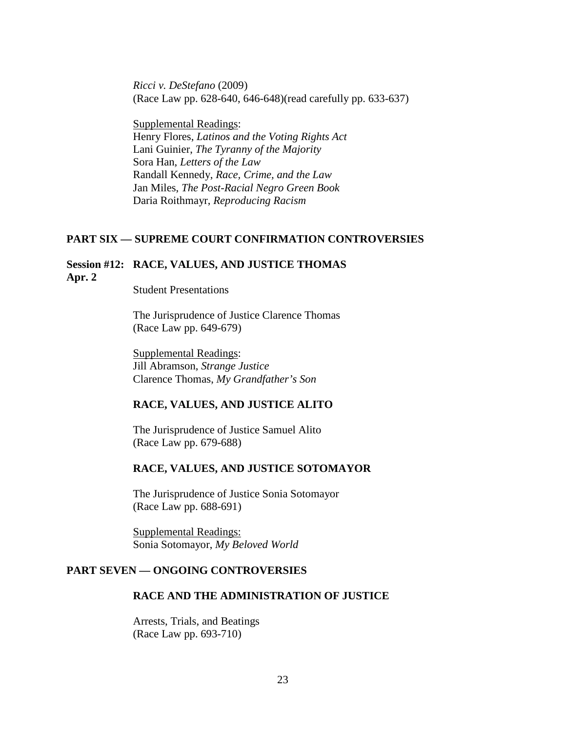*Ricci v. DeStefano* (2009) (Race Law pp. 628-640, 646-648)(read carefully pp. 633-637)

Supplemental Readings: Henry Flores, *Latinos and the Voting Rights Act* Lani Guinier, *The Tyranny of the Majority* Sora Han, *Letters of the Law* Randall Kennedy, *Race, Crime, and the Law* Jan Miles, *The Post-Racial Negro Green Book* Daria Roithmayr, *Reproducing Racism*

#### **PART SIX — SUPREME COURT CONFIRMATION CONTROVERSIES**

## **Session #12: RACE, VALUES, AND JUSTICE THOMAS Apr. 2**

Student Presentations

The Jurisprudence of Justice Clarence Thomas (Race Law pp. 649-679)

Supplemental Readings: Jill Abramson, *Strange Justice* Clarence Thomas, *My Grandfather's Son*

#### **RACE, VALUES, AND JUSTICE ALITO**

The Jurisprudence of Justice Samuel Alito (Race Law pp. 679-688)

#### **RACE, VALUES, AND JUSTICE SOTOMAYOR**

The Jurisprudence of Justice Sonia Sotomayor (Race Law pp. 688-691)

Supplemental Readings: Sonia Sotomayor, *My Beloved World*

## **PART SEVEN — ONGOING CONTROVERSIES**

## **RACE AND THE ADMINISTRATION OF JUSTICE**

Arrests, Trials, and Beatings (Race Law pp. 693-710)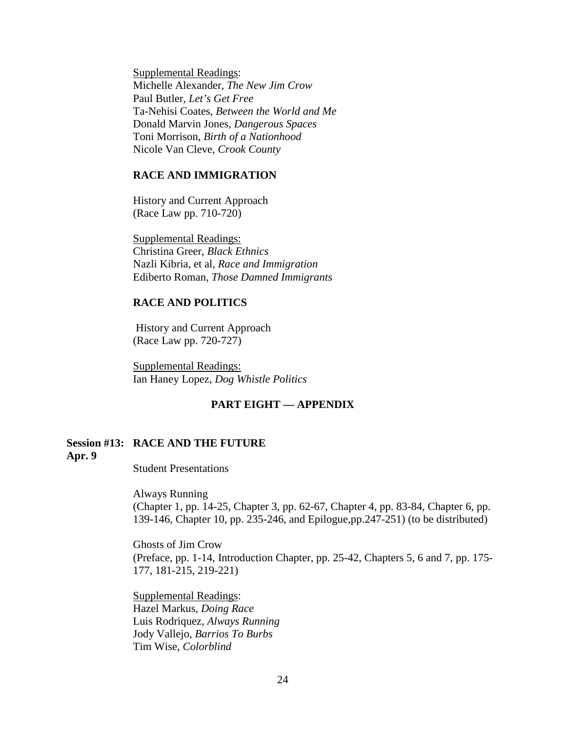Supplemental Readings: Michelle Alexander, *The New Jim Crow* Paul Butler, *Let's Get Free* Ta-Nehisi Coates, *Between the World and Me* Donald Marvin Jones, *Dangerous Spaces* Toni Morrison, *Birth of a Nationhood* Nicole Van Cleve, *Crook County*

## **RACE AND IMMIGRATION**

History and Current Approach (Race Law pp. 710-720)

Supplemental Readings: Christina Greer, *Black Ethnics* Nazli Kibria, et al, *Race and Immigration* Ediberto Roman, *Those Damned Immigrants*

#### **RACE AND POLITICS**

History and Current Approach (Race Law pp. 720-727)

Supplemental Readings: Ian Haney Lopez, *Dog Whistle Politics*

### **PART EIGHT — APPENDIX**

## **Session #13: RACE AND THE FUTURE Apr. 9**

Student Presentations

Always Running

(Chapter 1, pp. 14-25, Chapter 3, pp. 62-67, Chapter 4, pp. 83-84, Chapter 6, pp. 139-146, Chapter 10, pp. 235-246, and Epilogue,pp.247-251) (to be distributed)

Ghosts of Jim Crow (Preface, pp. 1-14, Introduction Chapter, pp. 25-42, Chapters 5, 6 and 7, pp. 175- 177, 181-215, 219-221)

Supplemental Readings: Hazel Markus, *Doing Race* Luis Rodriquez, *Always Running* Jody Vallejo, *Barrios To Burbs* Tim Wise, *Colorblind*